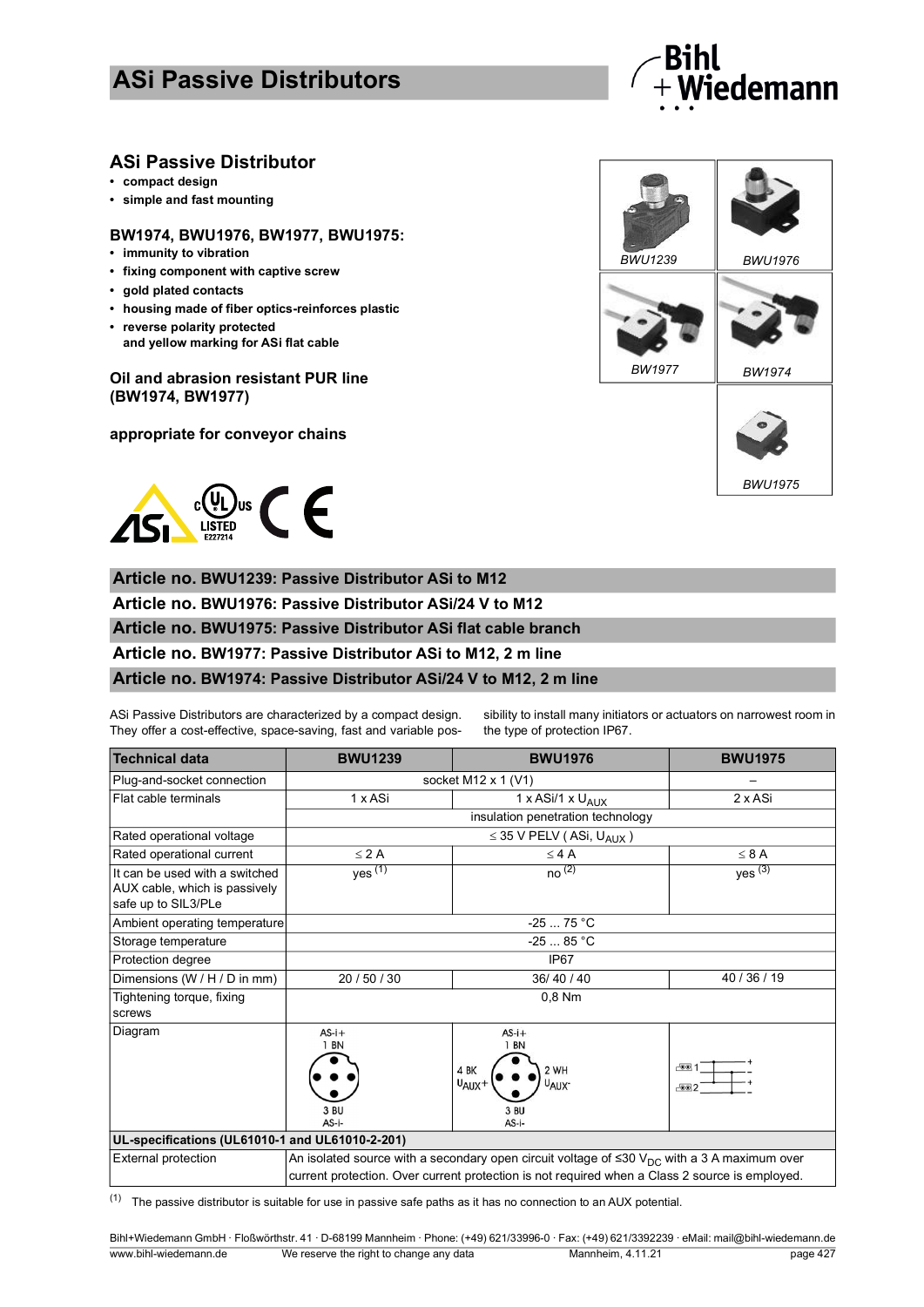# **ASi Passive Distributors**



## **ASi Passive Distributor**

- **compact design**
- **simple and fast mounting**

#### **BW1974, BWU1976, BW1977, BWU1975:**

- **immunity to vibration**
- **fixing component with captive screw**
- **gold plated contacts**
- **housing made of fiber optics-reinforces plastic**
- **reverse polarity protected and yellow marking for ASi flat cable**

### **Oil and abrasion resistant PUR line (BW1974, BW1977)**

**appropriate for conveyor chains**



**Article no. BWU1239: Passive Distributor ASi to M12**

**Article no. BWU1976: Passive Distributor ASi/24 V to M12**

### **Article no. BWU1975: Passive Distributor ASi flat cable branch**

**Article no. BW1977: Passive Distributor ASi to M12, 2 m line**

#### **Article no. BW1974: Passive Distributor ASi/24 V to M12, 2 m line**

ASi Passive Distributors are characterized by a compact design. They offer a cost-effective, space-saving, fast and variable possibility to install many initiators or actuators on narrowest room in the type of protection IP67.

| <b>Technical data</b>                                                                  | <b>BWU1239</b>                                                                                                                                                                                            | <b>BWU1976</b>                                                                               | <b>BWU1975</b>            |  |
|----------------------------------------------------------------------------------------|-----------------------------------------------------------------------------------------------------------------------------------------------------------------------------------------------------------|----------------------------------------------------------------------------------------------|---------------------------|--|
| Plug-and-socket connection                                                             | socket M12 x 1 $(V1)$                                                                                                                                                                                     |                                                                                              |                           |  |
| Flat cable terminals                                                                   | 1 x ASi                                                                                                                                                                                                   | 1 x ASi/1 x U <sub>AUX</sub>                                                                 | 2 x ASi                   |  |
|                                                                                        | insulation penetration technology                                                                                                                                                                         |                                                                                              |                           |  |
| Rated operational voltage                                                              | $\leq$ 35 V PELV (ASi, U <sub>AUX</sub> )                                                                                                                                                                 |                                                                                              |                           |  |
| Rated operational current                                                              | $\leq$ 2 A                                                                                                                                                                                                | $\leq 4$ A                                                                                   | $\leq 8$ A                |  |
| It can be used with a switched<br>AUX cable, which is passively<br>safe up to SIL3/PLe | yes $(1)$                                                                                                                                                                                                 | no <sup>(2)</sup>                                                                            | $yes^{(3)}$               |  |
| Ambient operating temperature                                                          | $-2575 °C$                                                                                                                                                                                                |                                                                                              |                           |  |
| Storage temperature                                                                    | $-25$ 85 °C                                                                                                                                                                                               |                                                                                              |                           |  |
| Protection degree                                                                      | IP67                                                                                                                                                                                                      |                                                                                              |                           |  |
| Dimensions (W / H / D in mm)                                                           | 20 / 50 / 30                                                                                                                                                                                              | 36/40/40                                                                                     | 40 / 36 / 19              |  |
| Tightening torque, fixing<br>screws                                                    | 0,8 Nm                                                                                                                                                                                                    |                                                                                              |                           |  |
| Diagram                                                                                | $AS-i+$<br>1 BN<br>3 BU<br>AS-i-                                                                                                                                                                          | $AS-i+$<br><b>BN</b><br>4 BK<br>2 WH<br>$U_{AUX} +$<br>U <sub>AUX</sub> -<br>3 BU<br>$AS-i-$ | $\sim$ 1<br>$F$ $\odot$ 2 |  |
| UL-specifications (UL61010-1 and UL61010-2-201)                                        |                                                                                                                                                                                                           |                                                                                              |                           |  |
| <b>External protection</b>                                                             | An isolated source with a secondary open circuit voltage of $\leq 30 \, V_{DC}$ with a 3 A maximum over<br>current protection. Over current protection is not required when a Class 2 source is employed. |                                                                                              |                           |  |

 $(1)$  The passive distributor is suitable for use in passive safe paths as it has no connection to an AUX potential.